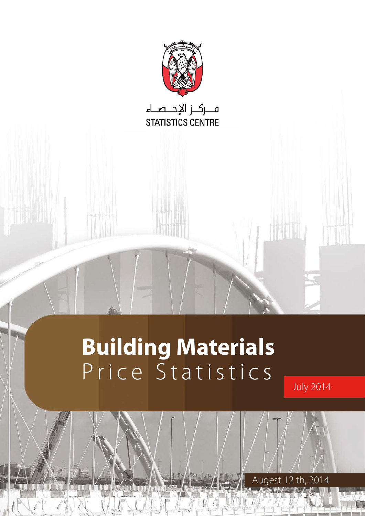

# **Building Materials** Price Statistics

**July 2014** 

Augest 12 th, 2014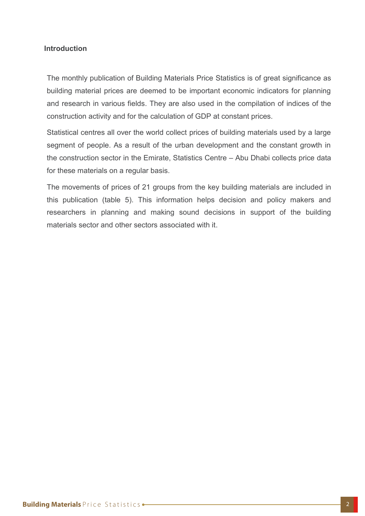## **Introduction**

The monthly publication of Building Materials Price Statistics is of great significance as building material prices are deemed to be important economic indicators for planning and research in various fields. They are also used in the compilation of indices of the construction activity and for the calculation of GDP at constant prices.

Statistical centres all over the world collect prices of building materials used by a large segment of people. As a result of the urban development and the constant growth in the construction sector in the Emirate. Statistics Centre – Abu Dhabi collects price data for these materials on a regular basis.

The movements of prices of 21 groups from the key building materials are included in this publication (table 5). This information helps decision and policy makers and researchers in planning and making sound decisions in support of the building materials sector and other sectors associated with it.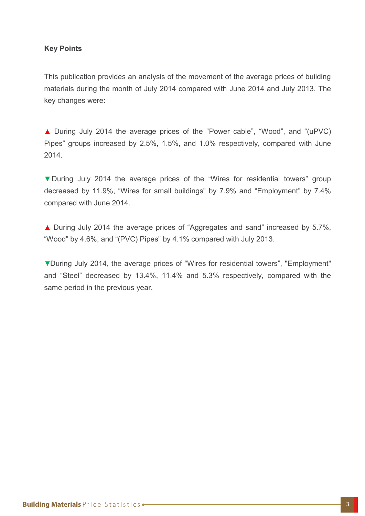## **Key Points**

This publication provides an analysis of the movement of the average prices of building materials during the month of July 2014 compared with June 2014 and July 2013. The key changes were:

■ During July 2014 the average prices of the "Power cable", "Wood", and "(uPVC) Pipes" groups increased by 2.5%, 1.5%, and 1.0% respectively, compared with June 2014.

V During July 2014 the average prices of the "Wires for residential towers" group decreased by 11.9%, "Wires for small buildings" by 7.9% and "Employment" by 7.4% compared with June 2014.

▲ During July 2014 the average prices of "Aggregates and sand" increased by 5.7%, "Wood" by  $4.6\%$ , and "(PVC) Pipes" by  $4.1\%$  compared with July 2013.

▼During July 2014, the average prices of "Wires for residential towers", "Employment" and "Steel" decreased by 13.4%, 11.4% and 5.3% respectively, compared with the same period in the previous year.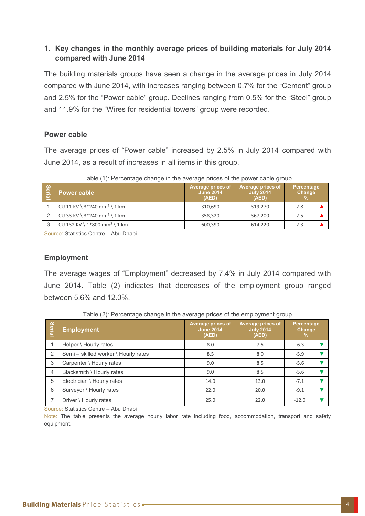## **1. Key changes in the monthly average prices of building materials for July 2014 2014 compared** with June 2014

The building materials groups have seen a change in the average prices in July 2014 compared with June 2014, with increases ranging between 0.7% for the "Cement" group and 2.5% for the "Power cable" group. Declines ranging from 0.5% for the "Steel" group and 11.9% for the "Wires for residential towers" group were recorded.

## **Power** cable

The average prices of "Power cable" increased by 2.5% in July 2014 compared with June 2014, as a result of increases in all items in this group.

Table (1): Percentage change in the average prices of the power cable group

| <b>Se</b><br>(a) | <b>Power cable</b>                         | Average prices of<br><b>June 2014</b><br>(AED) | <b>Average prices of</b><br><b>July 2014</b><br>(AED) | Percentage<br>Change |
|------------------|--------------------------------------------|------------------------------------------------|-------------------------------------------------------|----------------------|
|                  | CU 11 KV \ $3*240$ mm <sup>2</sup> \ 1 km  | 310,690                                        | 319,270                                               | 2.8                  |
|                  | CU 33 KV \ $3*240$ mm <sup>2</sup> \ 1 km  | 358.320                                        | 367.200                                               | 2.5                  |
| ↷                | CU 132 KV \ $1*800$ mm <sup>2</sup> \ 1 km | 600,390                                        | 614.220                                               | 2.3                  |

Source: Statistics Centre – Abu Dhabi

## **Employment**

The average wages of "Employment" decreased by 7.4% in July 2014 compared with June 2014. Table (2) indicates that decreases of the employment group ranged between 5.6% and 12.0%.

| <b>Serial</b>  | <b>Employment</b>                    | <b>Average prices of</b><br><b>June 2014</b><br>(AED) | Average prices of<br><b>July 2014</b><br>(AED) | Percentage<br>Change<br>$\frac{9}{6}$ |  |
|----------------|--------------------------------------|-------------------------------------------------------|------------------------------------------------|---------------------------------------|--|
|                | Helper \ Hourly rates                | 8.0                                                   | 7.5                                            | $-6.3$                                |  |
| 2              | Semi - skilled worker \ Hourly rates | 8.5                                                   | 8.0                                            | $-5.9$                                |  |
| 3              | Carpenter \ Hourly rates             | 9.0                                                   | 8.5                                            | $-5.6$                                |  |
| $\overline{4}$ | Blacksmith \ Hourly rates            | 9.0                                                   | 8.5                                            | $-5.6$                                |  |
| 5              | Electrician \ Hourly rates           | 14.0                                                  | 13.0                                           | $-7.1$                                |  |
| 6              | Surveyor \ Hourly rates              | 22.0                                                  | 20.0                                           | $-9.1$                                |  |
|                | Driver \ Hourly rates                | 25.0                                                  | 22.0                                           | $-12.0$                               |  |

Table (2): Percentage change in the average prices of the employment group

Source: Statistics Centre – Abu Dhabi

Note: The table presents the average hourly labor rate including food, accommodation, transport and safety .equipment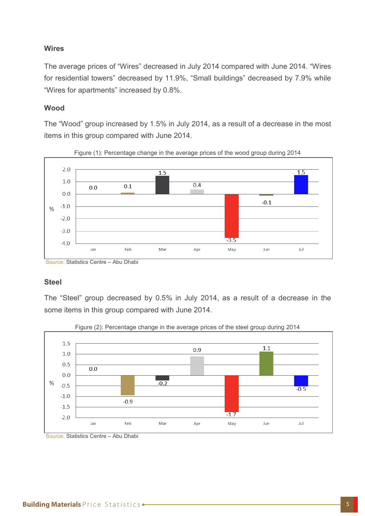## **Wires**

The average prices of "Wires" decreased in July 2014 compared with June 2014. "Wires for residential towers" decreased by 11.9%, "Small buildings" decreased by 7.9% while "Wires for apartments" increased by 0.8%.

#### **Wood**

The "Wood" group increased by 1.5% in July 2014, as a result of a decrease in the most items in this group compared with June 2014.





#### **Steel**

The "Steel" group decreased by 0.5% in July 2014, as a result of a decrease in the some items in this group compared with June 2014.



Figure (2): Percentage change in the average prices of the steel group during 2014

Source: Statistics Centre – Abu Dhabi

Source: Statistics Centre – Abu Dhabi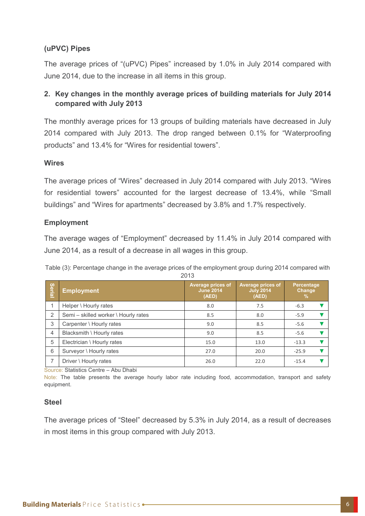## **(uPVC)** Pipes

The average prices of "(uPVC) Pipes" increased by 1.0% in July 2014 compared with June 2014, due to the increase in all items in this group.

## **2. Key changes in the monthly average prices of building materials for July 2014 2013 compared** with July 2013

The monthly average prices for 13 groups of building materials have decreased in July 2014 compared with July 2013. The drop ranged between 0.1% for "Waterproofing products" and 13.4% for "Wires for residential towers".

## **Wires**

The average prices of "Wires" decreased in July 2014 compared with July 2013. "Wires for residential towers" accounted for the largest decrease of 13.4%, while "Small buildings" and "Wires for apartments" decreased by 3.8% and 1.7% respectively.

## **Employment**

The average wages of "Employment" decreased by 11.4% in July 2014 compared with June 2014, as a result of a decrease in all wages in this group.

Table (3): Percentage change in the average prices of the employment group during 2014 compared with 2013

| <b>Serial</b>  | <b>Employment</b>                    | <b>Average prices of</b><br><b>June 2014</b><br>(AED) | <b>Average prices of</b><br><b>July 2014</b><br>(AED) | Percentage<br>Change<br>$\%$ |
|----------------|--------------------------------------|-------------------------------------------------------|-------------------------------------------------------|------------------------------|
|                | Helper \ Hourly rates                | 8.0                                                   | 7.5                                                   | $-6.3$                       |
| 2              | Semi - skilled worker \ Hourly rates | 8.5                                                   | 8.0                                                   | $-5.9$                       |
| 3              | Carpenter \ Hourly rates             | 9.0                                                   | 8.5                                                   | $-5.6$                       |
| $\overline{4}$ | Blacksmith \ Hourly rates            | 9.0                                                   | 8.5                                                   | $-5.6$                       |
| 5              | Electrician \ Hourly rates           | 15.0                                                  | 13.0                                                  | $-13.3$                      |
| 6              | Surveyor \ Hourly rates              | 27.0                                                  | 20.0                                                  | $-25.9$                      |
|                | Driver \ Hourly rates                | 26.0                                                  | 22.0                                                  | $-15.4$                      |

Source: Statistics Centre – Abu Dhabi

Note: The table presents the average hourly labor rate including food, accommodation, transport and safety .equipment

#### **Steel**

The average prices of "Steel" decreased by 5.3% in July 2014, as a result of decreases in most items in this group compared with July 2013.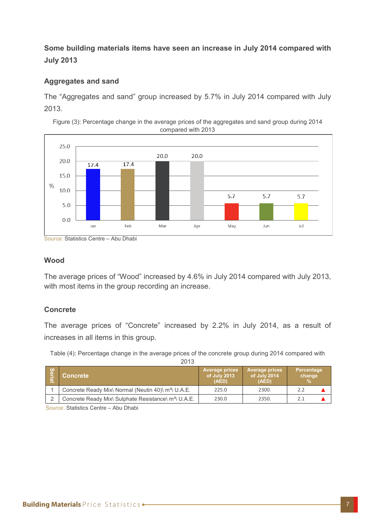## **Some building materials items have seen an increase in July 2014 compared with 2013 July**

## **Aggregates and sand**

The "Aggregates and sand" group increased by 5.7% in July 2014 compared with July 2013.

Figure (3): Percentage change in the average prices of the aggregates and sand group during 2014 compared with 2013



Source: Statistics Centre – Abu Dhabi

## **Wood**

The average prices of "Wood" increased by 4.6% in July 2014 compared with July 2013, with most items in the group recording an increase.

## **Concrete**

The average prices of "Concrete" increased by 2.2% in July 2014, as a result of increases in all items in this group.

Table (4): Percentage change in the average prices of the concrete group during 2014 compared with

| ۰.<br>× | ۰.<br>× |
|---------|---------|
|         |         |

| / တွ | Concrete                                                         | <b>Average prices</b><br>of July 2013<br>(AED) | <b>Average prices</b><br>of July 2014<br>(AED) | Percentage<br>change |
|------|------------------------------------------------------------------|------------------------------------------------|------------------------------------------------|----------------------|
|      | Concrete Ready Mix\ Normal (Neutin 40)\ m <sup>3</sup> \ U.A.E.  | 225.0                                          | 2300.                                          | 2.2                  |
|      | Concrete Ready Mix\ Sulphate Resistance\ m <sup>3</sup> \ U.A.E. | 230.0                                          | 2350.                                          |                      |

Source: Statistics Centre – Abu Dhabi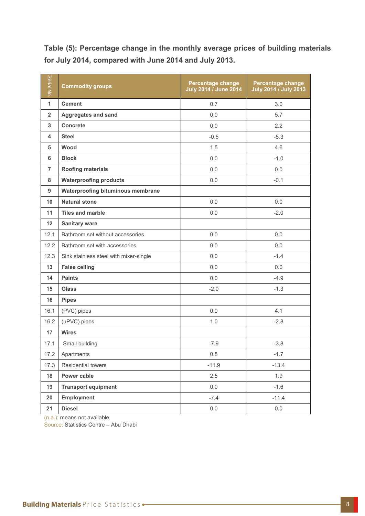Table (5): Percentage change in the monthly average prices of building materials for July 2014, compared with June 2014 and July 2013.

| Serial No.     | <b>Commodity groups</b>                  | Percentage change<br>July 2014 / June 2014 | Percentage change<br><b>July 2014 / July 2013</b> |  |
|----------------|------------------------------------------|--------------------------------------------|---------------------------------------------------|--|
| $\mathbf{1}$   | <b>Cement</b>                            | 0.7                                        | 3.0                                               |  |
| $\overline{2}$ | <b>Aggregates and sand</b>               | 0.0                                        | 5.7                                               |  |
| 3              | <b>Concrete</b>                          | 0.0                                        | 2.2                                               |  |
| 4              | <b>Steel</b>                             | $-0.5$                                     | $-5.3$                                            |  |
| 5              | Wood                                     | 1.5                                        | 4.6                                               |  |
| 6              | <b>Block</b>                             | 0.0                                        | $-1.0$                                            |  |
| $\overline{7}$ | <b>Roofing materials</b>                 | 0.0                                        | 0.0                                               |  |
| 8              | <b>Waterproofing products</b>            | 0.0                                        | $-0.1$                                            |  |
| 9              | <b>Waterproofing bituminous membrane</b> |                                            |                                                   |  |
| 10             | <b>Natural stone</b>                     | 0.0                                        | 0.0                                               |  |
| 11             | <b>Tiles and marble</b>                  | 0.0                                        | $-2.0$                                            |  |
| 12             | <b>Sanitary ware</b>                     |                                            |                                                   |  |
| 12.1           | Bathroom set without accessories         | 0.0                                        | 0.0                                               |  |
| 12.2           | Bathroom set with accessories            | 0.0                                        | 0.0                                               |  |
| 12.3           | Sink stainless steel with mixer-single   | 0.0                                        | $-1.4$                                            |  |
| 13             | <b>False ceiling</b>                     | 0.0                                        | 0.0                                               |  |
| 14             | <b>Paints</b>                            | 0.0                                        | $-4.9$                                            |  |
| 15             | <b>Glass</b>                             | $-2.0$                                     | $-1.3$                                            |  |
| 16             | <b>Pipes</b>                             |                                            |                                                   |  |
| 16.1           | (PVC) pipes                              | 0.0                                        | 4.1                                               |  |
| 16.2           | (uPVC) pipes                             | 1.0                                        | $-2.8$                                            |  |
| 17             | <b>Wires</b>                             |                                            |                                                   |  |
| 17.1           | Small building                           | $-7.9$                                     | $-3.8$                                            |  |
| 17.2           | Apartments                               | $0.8\,$                                    | $-1.7$                                            |  |
| 17.3           | Residential towers                       | $-11.9$                                    | $-13.4$                                           |  |
| 18             | Power cable                              | 2.5                                        | 1.9                                               |  |
| 19             | <b>Transport equipment</b>               | 0.0                                        | $-1.6$                                            |  |
| 20             | <b>Employment</b>                        | $-7.4$                                     | $-11.4$                                           |  |
| 21             | <b>Diesel</b>                            | 0.0                                        | $0.0\,$                                           |  |

 $(n.a.)$ : means not available

Source: Statistics Centre - Abu Dhabi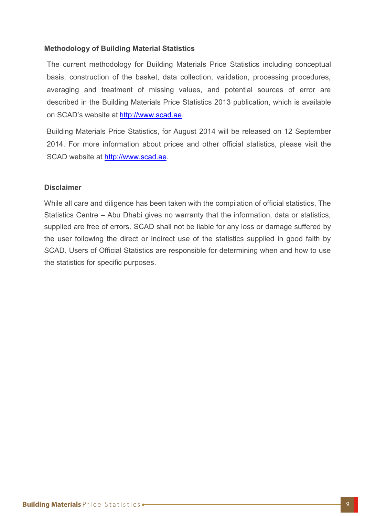## **Methodology of Building Material Statistics**

The current methodology for Building Materials Price Statistics including conceptual basis, construction of the basket, data collection, validation, processing procedures, averaging and treatment of missing values, and potential sources of error are described in the Building Materials Price Statistics 2013 publication, which is available on SCAD's website at http://www.scad.ae.

Building Materials Price Statistics, for August 2014 will be released on 12 September 2014. For more information about prices and other official statistics, please visit the SCAD website at http://www.scad.ae.

#### **Disclaimer**

While all care and diligence has been taken with the compilation of official statistics, The Statistics Centre – Abu Dhabi gives no warranty that the information, data or statistics, supplied are free of errors. SCAD shall not be liable for any loss or damage suffered by the user following the direct or indirect use of the statistics supplied in good faith by SCAD. Users of Official Statistics are responsible for determining when and how to use the statistics for specific purposes.